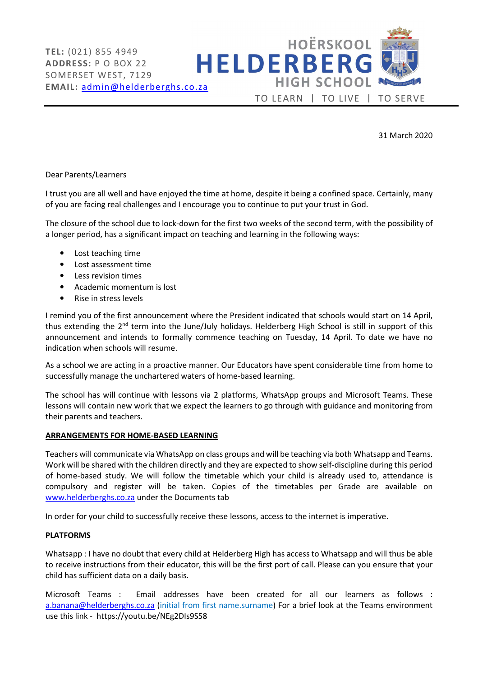

31 March 2020

### Dear Parents/Learners

I trust you are all well and have enjoyed the time at home, despite it being a confined space. Certainly, many of you are facing real challenges and I encourage you to continue to put your trust in God.

The closure of the school due to lock-down for the first two weeks of the second term, with the possibility of a longer period, has a significant impact on teaching and learning in the following ways:

- Lost teaching time
- Lost assessment time
- Less revision times
- Academic momentum is lost
- Rise in stress levels

I remind you of the first announcement where the President indicated that schools would start on 14 April, thus extending the  $2^{nd}$  term into the June/July holidays. Helderberg High School is still in support of this announcement and intends to formally commence teaching on Tuesday, 14 April. To date we have no indication when schools will resume.

As a school we are acting in a proactive manner. Our Educators have spent considerable time from home to successfully manage the unchartered waters of home-based learning.

The school has will continue with lessons via 2 platforms, WhatsApp groups and Microsoft Teams. These lessons will contain new work that we expect the learners to go through with guidance and monitoring from their parents and teachers.

#### ARRANGEMENTS FOR HOME-BASED LEARNING

Teachers will communicate via WhatsApp on class groups and will be teaching via both Whatsapp and Teams. Work will be shared with the children directly and they are expected to show self-discipline during this period of home-based study. We will follow the timetable which your child is already used to, attendance is compulsory and register will be taken. Copies of the timetables per Grade are available on www.helderberghs.co.za under the Documents tab

In order for your child to successfully receive these lessons, access to the internet is imperative.

#### PLATFORMS

Whatsapp : I have no doubt that every child at Helderberg High has access to Whatsapp and will thus be able to receive instructions from their educator, this will be the first port of call. Please can you ensure that your child has sufficient data on a daily basis.

Microsoft Teams : Email addresses have been created for all our learners as follows : a.banana@helderberghs.co.za (initial from first name.surname) For a brief look at the Teams environment use this link - https://youtu.be/NEg2DIs9S58